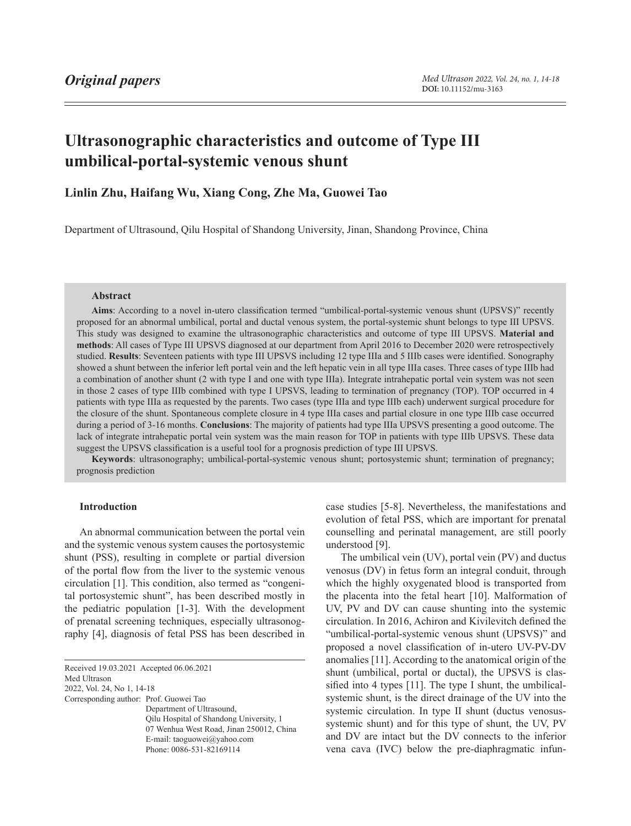# **Ultrasonographic characteristics and outcome of Type III umbilical-portal-systemic venous shunt**

# **Linlin Zhu, Haifang Wu, Xiang Cong, Zhe Ma, Guowei Tao**

Department of Ultrasound, Qilu Hospital of Shandong University, Jinan, Shandong Province, China

## **Abstract**

**Aims**: According to a novel in-utero classification termed "umbilical-portal-systemic venous shunt (UPSVS)" recently proposed for an abnormal umbilical, portal and ductal venous system, the portal-systemic shunt belongs to type III UPSVS. This study was designed to examine the ultrasonographic characteristics and outcome of type III UPSVS. **Material and methods**: All cases of Type III UPSVS diagnosed at our department from April 2016 to December 2020 were retrospectively studied. **Results**: Seventeen patients with type III UPSVS including 12 type IIIa and 5 IIIb cases were identified. Sonography showed a shunt between the inferior left portal vein and the left hepatic vein in all type IIIa cases. Three cases of type IIIb had a combination of another shunt (2 with type I and one with type IIIa). Integrate intrahepatic portal vein system was not seen in those 2 cases of type IIIb combined with type I UPSVS, leading to termination of pregnancy (TOP). TOP occurred in 4 patients with type IIIa as requested by the parents. Two cases (type IIIa and type IIIb each) underwent surgical procedure for the closure of the shunt. Spontaneous complete closure in 4 type IIIa cases and partial closure in one type IIIb case occurred during a period of 3-16 months. **Conclusions**: The majority of patients had type IIIa UPSVS presenting a good outcome. The lack of integrate intrahepatic portal vein system was the main reason for TOP in patients with type IIIb UPSVS. These data suggest the UPSVS classification is a useful tool for a prognosis prediction of type III UPSVS.

**Keywords**: ultrasonography; umbilical-portal-systemic venous shunt; portosystemic shunt; termination of pregnancy; prognosis prediction

### **Introduction**

An abnormal communication between the portal vein and the systemic venous system causes the portosystemic shunt (PSS), resulting in complete or partial diversion of the portal flow from the liver to the systemic venous circulation [1]. This condition, also termed as "congenital portosystemic shunt", has been described mostly in the pediatric population [1-3]. With the development of prenatal screening techniques, especially ultrasonography [4], diagnosis of fetal PSS has been described in

<span id="page-0-0"></span>Received 19.03.2021 Accepted 06.06.2021 Med Ultrason 2022, Vol. 24, No 1, [14-](#page-0-0)18 Corresponding author: Prof. Guowei Tao Department of Ultrasound, Qilu Hospital of Shandong University, 1 07 Wenhua West Road, Jinan 250012, China E-mail: taoguowei@yahoo.com Phone: 0086-531-82169114

case studies [5-8]. Nevertheless, the manifestations and evolution of fetal PSS, which are important for prenatal counselling and perinatal management, are still poorly understood [9].

The umbilical vein (UV), portal vein (PV) and ductus venosus (DV) in fetus form an integral conduit, through which the highly oxygenated blood is transported from the placenta into the fetal heart [10]. Malformation of UV, PV and DV can cause shunting into the systemic circulation. In 2016, Achiron and Kivilevitch defined the "umbilical-portal-systemic venous shunt (UPSVS)" and proposed a novel classification of in-utero UV-PV-DV anomalies [11]. According to the anatomical origin of the shunt (umbilical, portal or ductal), the UPSVS is classified into 4 types [11]. The type I shunt, the umbilicalsystemic shunt, is the direct drainage of the UV into the systemic circulation. In type II shunt (ductus venosussystemic shunt) and for this type of shunt, the UV, PV and DV are intact but the DV connects to the inferior vena cava (IVC) below the pre-diaphragmatic infun-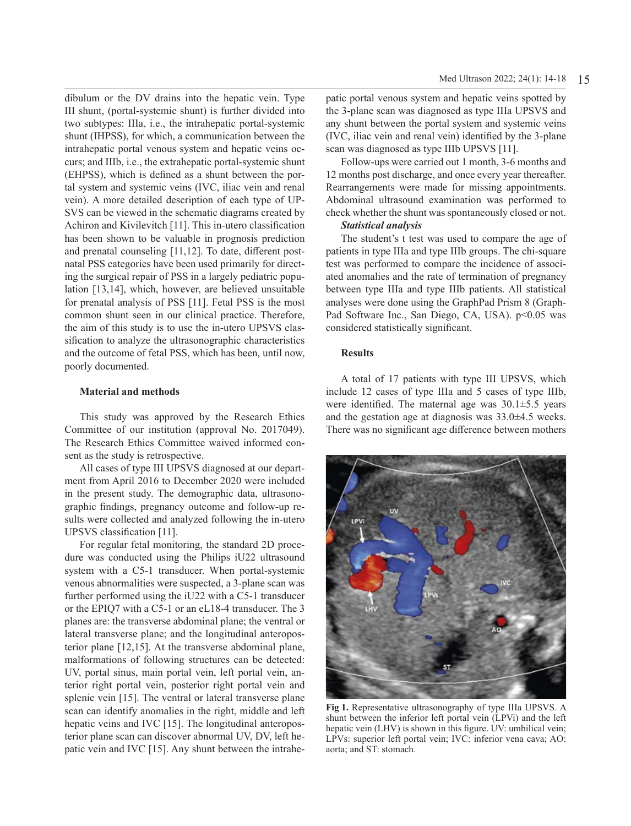dibulum or the DV drains into the hepatic vein. Type III shunt, (portal-systemic shunt) is further divided into two subtypes: IIIa, i.e., the intrahepatic portal-systemic shunt (IHPSS), for which, a communication between the intrahepatic portal venous system and hepatic veins occurs; and IIIb, i.e., the extrahepatic portal-systemic shunt (EHPSS), which is defined as a shunt between the portal system and systemic veins (IVC, iliac vein and renal vein). A more detailed description of each type of UP-SVS can be viewed in the schematic diagrams created by Achiron and Kivilevitch [11]. This in-utero classification has been shown to be valuable in prognosis prediction and prenatal counseling [11,12]. To date, different postnatal PSS categories have been used primarily for directing the surgical repair of PSS in a largely pediatric population [13,14], which, however, are believed unsuitable for prenatal analysis of PSS [11]. Fetal PSS is the most common shunt seen in our clinical practice. Therefore, the aim of this study is to use the in-utero UPSVS classification to analyze the ultrasonographic characteristics and the outcome of fetal PSS, which has been, until now, poorly documented.

### **Material and methods**

This study was approved by the Research Ethics Committee of our institution (approval No. 2017049). The Research Ethics Committee waived informed consent as the study is retrospective.

All cases of type III UPSVS diagnosed at our department from April 2016 to December 2020 were included in the present study. The demographic data, ultrasonographic findings, pregnancy outcome and follow-up results were collected and analyzed following the in-utero UPSVS classification [11].

For regular fetal monitoring, the standard 2D procedure was conducted using the Philips iU22 ultrasound system with a C5-1 transducer. When portal-systemic venous abnormalities were suspected, a 3-plane scan was further performed using the iU22 with a C5-1 transducer or the EPIQ7 with a C5-1 or an eL18-4 transducer. The 3 planes are: the transverse abdominal plane; the ventral or lateral transverse plane; and the longitudinal anteroposterior plane [12,15]. At the transverse abdominal plane, malformations of following structures can be detected: UV, portal sinus, main portal vein, left portal vein, anterior right portal vein, posterior right portal vein and splenic vein [15]. The ventral or lateral transverse plane scan can identify anomalies in the right, middle and left hepatic veins and IVC [15]. The longitudinal anteroposterior plane scan can discover abnormal UV, DV, left hepatic vein and IVC [15]. Any shunt between the intrahepatic portal venous system and hepatic veins spotted by the 3-plane scan was diagnosed as type IIIa UPSVS and any shunt between the portal system and systemic veins (IVC, iliac vein and renal vein) identified by the 3-plane scan was diagnosed as type IIIb UPSVS [11].

Follow-ups were carried out 1 month, 3-6 months and 12 months post discharge, and once every year thereafter. Rearrangements were made for missing appointments. Abdominal ultrasound examination was performed to check whether the shunt was spontaneously closed or not.

### *Statistical analysis*

The student's t test was used to compare the age of patients in type IIIa and type IIIb groups. The chi-square test was performed to compare the incidence of associated anomalies and the rate of termination of pregnancy between type IIIa and type IIIb patients. All statistical analyses were done using the GraphPad Prism 8 (Graph-Pad Software Inc., San Diego, CA, USA). p<0.05 was considered statistically significant.

### **Results**

A total of 17 patients with type III UPSVS, which include 12 cases of type IIIa and 5 cases of type IIIb, were identified. The maternal age was 30.1±5.5 years and the gestation age at diagnosis was 33.0±4.5 weeks. There was no significant age difference between mothers



**Fig 1.** Representative ultrasonography of type IIIa UPSVS. A shunt between the inferior left portal vein (LPVi) and the left hepatic vein (LHV) is shown in this figure. UV: umbilical vein; LPVs: superior left portal vein; IVC: inferior vena cava; AO: aorta; and ST: stomach.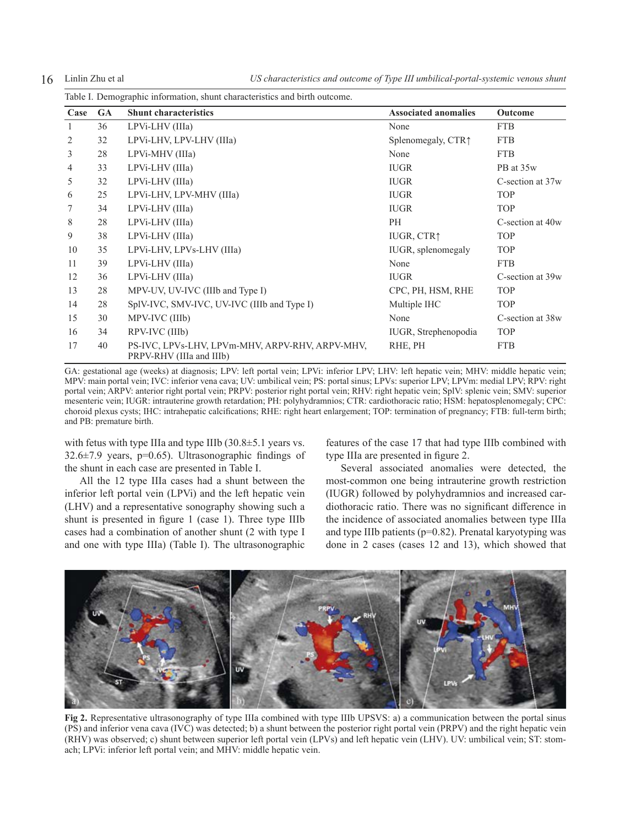16 Linlin Zhu et al *US characteristics and outcome of Type III umbilical-portal-systemic venous shunt*

|      | Table I. Demographic information, shunt characteristics and birth outcome. |                                                                             |                             |                              |  |  |
|------|----------------------------------------------------------------------------|-----------------------------------------------------------------------------|-----------------------------|------------------------------|--|--|
| Case | <b>GA</b>                                                                  | <b>Shunt characteristics</b>                                                | <b>Associated anomalies</b> | <b>Outcome</b>               |  |  |
|      | 36                                                                         | LPVi-LHV (IIIa)                                                             | None                        | <b>FTB</b>                   |  |  |
| 2    | 32                                                                         | LPVi-LHV, LPV-LHV (IIIa)                                                    | Splenomegaly, CTR↑          | <b>FTB</b>                   |  |  |
| 3    | 28                                                                         | LPVi-MHV (IIIa)                                                             | None                        | <b>FTB</b>                   |  |  |
| 4    | 33                                                                         | LPVi-LHV (IIIa)                                                             | <b>IUGR</b>                 | PB at 35w                    |  |  |
| 5    | 32                                                                         | LPVi-LHV (IIIa)                                                             | <b>IUGR</b>                 | C-section at 37 <sub>w</sub> |  |  |
| 6    | 25                                                                         | LPVi-LHV, LPV-MHV (IIIa)                                                    | <b>IUGR</b>                 | <b>TOP</b>                   |  |  |
| 7    | 34                                                                         | LPVi-LHV (IIIa)                                                             | <b>IUGR</b>                 | <b>TOP</b>                   |  |  |
| 8    | 28                                                                         | LPVi-LHV (IIIa)                                                             | PH                          | C-section at 40w             |  |  |
| 9    | 38                                                                         | LPVi-LHV (IIIa)                                                             | IUGR, CTR↑                  | <b>TOP</b>                   |  |  |
| 10   | 35                                                                         | LPVi-LHV, LPVs-LHV (IIIa)                                                   | IUGR, splenomegaly          | <b>TOP</b>                   |  |  |
| 11   | 39                                                                         | LPVi-LHV (IIIa)                                                             | None                        | <b>FTB</b>                   |  |  |
| 12   | 36                                                                         | LPVi-LHV (IIIa)                                                             | <b>IUGR</b>                 | C-section at 39 <sub>w</sub> |  |  |
| 13   | 28                                                                         | MPV-UV, UV-IVC (IIIb and Type I)                                            | CPC, PH, HSM, RHE           | <b>TOP</b>                   |  |  |
| 14   | 28                                                                         | SpIV-IVC, SMV-IVC, UV-IVC (IIIb and Type I)                                 | Multiple IHC                | <b>TOP</b>                   |  |  |
| 15   | 30                                                                         | MPV-IVC (IIIb)                                                              | None                        | C-section at 38w             |  |  |
| 16   | 34                                                                         | RPV-IVC (IIIb)                                                              | IUGR, Strephenopodia        | <b>TOP</b>                   |  |  |
| 17   | 40                                                                         | PS-IVC, LPVs-LHV, LPVm-MHV, ARPV-RHV, ARPV-MHV,<br>PRPV-RHV (IIIa and IIIb) | RHE, PH                     | <b>FTB</b>                   |  |  |

GA: gestational age (weeks) at diagnosis; LPV: left portal vein; LPVi: inferior LPV; LHV: left hepatic vein; MHV: middle hepatic vein; MPV: main portal vein; IVC: inferior vena cava; UV: umbilical vein; PS: portal sinus; LPVs: superior LPV; LPVm: medial LPV; RPV: right portal vein; ARPV: anterior right portal vein; PRPV: posterior right portal vein; RHV: right hepatic vein; SplV: splenic vein; SMV: superior mesenteric vein; IUGR: intrauterine growth retardation; PH: polyhydramnios; CTR: cardiothoracic ratio; HSM: hepatosplenomegaly; CPC: choroid plexus cysts; IHC: intrahepatic calcifications; RHE: right heart enlargement; TOP: termination of pregnancy; FTB: full-term birth; and PB: premature birth.

with fetus with type IIIa and type IIIb (30.8±5.1 years vs. 32.6 $\pm$ 7.9 years, p=0.65). Ultrasonographic findings of the shunt in each case are presented in Table I.

All the 12 type IIIa cases had a shunt between the inferior left portal vein (LPVi) and the left hepatic vein (LHV) and a representative sonography showing such a shunt is presented in figure 1 (case 1). Three type IIIb cases had a combination of another shunt (2 with type I and one with type IIIa) (Table I). The ultrasonographic features of the case 17 that had type IIIb combined with type IIIa are presented in figure 2.

Several associated anomalies were detected, the most-common one being intrauterine growth restriction (IUGR) followed by polyhydramnios and increased cardiothoracic ratio. There was no significant difference in the incidence of associated anomalies between type IIIa and type IIIb patients ( $p=0.82$ ). Prenatal karyotyping was done in 2 cases (cases 12 and 13), which showed that



**Fig 2.** Representative ultrasonography of type IIIa combined with type IIIb UPSVS: a) a communication between the portal sinus (PS) and inferior vena cava (IVC) was detected; b) a shunt between the posterior right portal vein (PRPV) and the right hepatic vein (RHV) was observed; c) shunt between superior left portal vein (LPVs) and left hepatic vein (LHV). UV: umbilical vein; ST: stomach; LPVi: inferior left portal vein; and MHV: middle hepatic vein.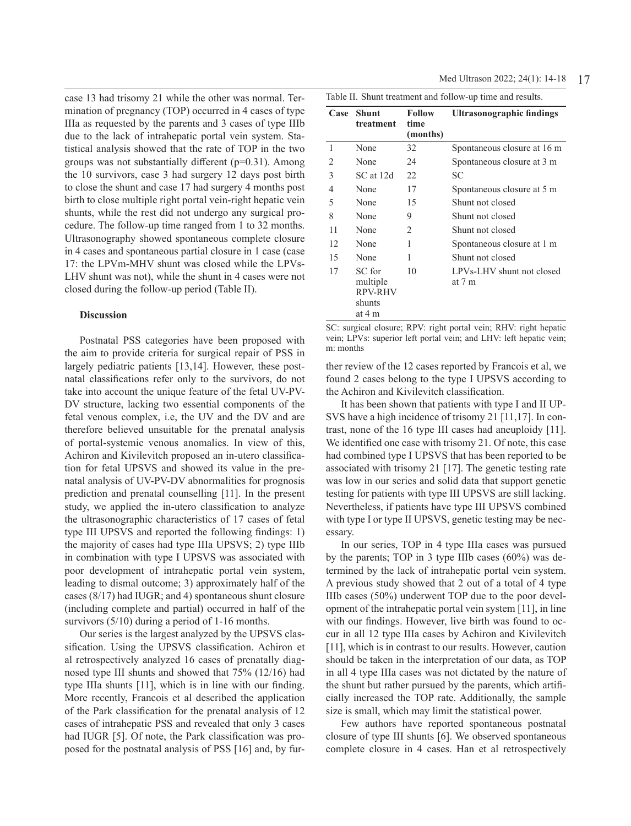case 13 had trisomy 21 while the other was normal. Termination of pregnancy (TOP) occurred in 4 cases of type IIIa as requested by the parents and 3 cases of type IIIb due to the lack of intrahepatic portal vein system. Statistical analysis showed that the rate of TOP in the two groups was not substantially different  $(p=0.31)$ . Among the 10 survivors, case 3 had surgery 12 days post birth to close the shunt and case 17 had surgery 4 months post birth to close multiple right portal vein-right hepatic vein shunts, while the rest did not undergo any surgical procedure. The follow-up time ranged from 1 to 32 months. Ultrasonography showed spontaneous complete closure in 4 cases and spontaneous partial closure in 1 case (case 17: the LPVm-MHV shunt was closed while the LPVs-LHV shunt was not), while the shunt in 4 cases were not closed during the follow-up period (Table II).

### **Discussion**

Postnatal PSS categories have been proposed with the aim to provide criteria for surgical repair of PSS in largely pediatric patients [13,14]. However, these postnatal classifications refer only to the survivors, do not take into account the unique feature of the fetal UV-PV-DV structure, lacking two essential components of the fetal venous complex, i.e, the UV and the DV and are therefore believed unsuitable for the prenatal analysis of portal-systemic venous anomalies. In view of this, Achiron and Kivilevitch proposed an in-utero classification for fetal UPSVS and showed its value in the prenatal analysis of UV-PV-DV abnormalities for prognosis prediction and prenatal counselling [11]. In the present study, we applied the in-utero classification to analyze the ultrasonographic characteristics of 17 cases of fetal type III UPSVS and reported the following findings: 1) the majority of cases had type IIIa UPSVS; 2) type IIIb in combination with type I UPSVS was associated with poor development of intrahepatic portal vein system, leading to dismal outcome; 3) approximately half of the cases (8/17) had IUGR; and 4) spontaneous shunt closure (including complete and partial) occurred in half of the survivors (5/10) during a period of 1-16 months.

Our series is the largest analyzed by the UPSVS classification. Using the UPSVS classification. Achiron et al retrospectively analyzed 16 cases of prenatally diagnosed type III shunts and showed that 75% (12/16) had type IIIa shunts [11], which is in line with our finding. More recently, Francois et al described the application of the Park classification for the prenatal analysis of 12 cases of intrahepatic PSS and revealed that only 3 cases had IUGR [5]. Of note, the Park classification was proposed for the postnatal analysis of PSS [16] and, by fur-

| Case | <b>Shunt</b><br>treatment                                | <b>Follow</b><br>time<br>(months) | Ultrasonographic findings           |  |  |
|------|----------------------------------------------------------|-----------------------------------|-------------------------------------|--|--|
| 1    | None                                                     | 32                                | Spontaneous closure at 16 m         |  |  |
| 2    | None                                                     | 24                                | Spontaneous closure at 3 m          |  |  |
| 3    | SC at 12d                                                | 22                                | SС                                  |  |  |
| 4    | None                                                     | 17                                | Spontaneous closure at 5 m          |  |  |
| 5    | None                                                     | 15                                | Shunt not closed                    |  |  |
| 8    | None                                                     | 9                                 | Shunt not closed                    |  |  |
| 11   | None                                                     | 2                                 | Shunt not closed                    |  |  |
| 12   | None                                                     | 1                                 | Spontaneous closure at 1 m          |  |  |
| 15   | None                                                     | 1                                 | Shunt not closed                    |  |  |
| 17   | SC for<br>multiple<br><b>RPV-RHV</b><br>shunts<br>at 4 m | 10                                | LPVs-LHV shunt not closed<br>at 7 m |  |  |

Table II. Shunt treatment and follow-up time and results.

SC: surgical closure; RPV: right portal vein; RHV: right hepatic vein; LPVs: superior left portal vein; and LHV: left hepatic vein; m: months

ther review of the 12 cases reported by Francois et al, we found 2 cases belong to the type I UPSVS according to the Achiron and Kivilevitch classification.

It has been shown that patients with type I and II UP-SVS have a high incidence of trisomy 21 [11,17]. In contrast, none of the 16 type III cases had aneuploidy [11]. We identified one case with trisomy 21. Of note, this case had combined type I UPSVS that has been reported to be associated with trisomy 21 [17]. The genetic testing rate was low in our series and solid data that support genetic testing for patients with type III UPSVS are still lacking. Nevertheless, if patients have type III UPSVS combined with type I or type II UPSVS, genetic testing may be necessary.

In our series, TOP in 4 type IIIa cases was pursued by the parents; TOP in 3 type IIIb cases (60%) was determined by the lack of intrahepatic portal vein system. A previous study showed that 2 out of a total of 4 type IIIb cases (50%) underwent TOP due to the poor development of the intrahepatic portal vein system [11], in line with our findings. However, live birth was found to occur in all 12 type IIIa cases by Achiron and Kivilevitch [11], which is in contrast to our results. However, caution should be taken in the interpretation of our data, as TOP in all 4 type IIIa cases was not dictated by the nature of the shunt but rather pursued by the parents, which artificially increased the TOP rate. Additionally, the sample size is small, which may limit the statistical power.

Few authors have reported spontaneous postnatal closure of type III shunts [6]. We observed spontaneous complete closure in 4 cases. Han et al retrospectively